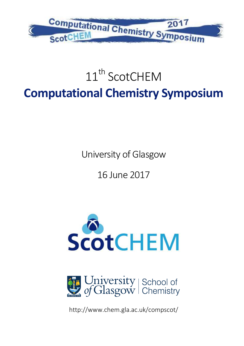

# 11<sup>th</sup> ScotCHFM **Computational Chemistry Symposium**

University of Glasgow

16 June 2017





http://www.chem.gla.ac.uk/compscot/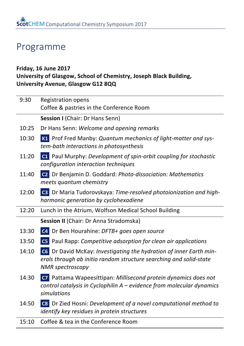### Programme

#### **Friday, 16 June 2017 University of Glasgow, School of Chemistry, Joseph Black Building, University Avenue, Glasgow G12 8QQ**

| 9:30  | <b>Registration opens</b><br>Coffee & pastries in the Conference Room                                                                                               |
|-------|---------------------------------------------------------------------------------------------------------------------------------------------------------------------|
|       | Session I (Chair: Dr Hans Senn)                                                                                                                                     |
| 10:25 | Dr Hans Senn: Welcome and opening remarks                                                                                                                           |
| 10:30 | K1 Prof Fred Manby: Quantum mechanics of light-matter and sys-<br>tem-bath interactions in photosynthesis                                                           |
| 11:20 | <b>C1</b> Paul Murphy: Development of spin-orbit coupling for stochastic<br>configuration interaction techniques                                                    |
| 11:40 | C2 Dr Benjamin D. Goddard: Photo-dissociation: Mathematics<br>meets quantum chemistry                                                                               |
| 12:00 | <b>C3</b> Dr Maria Tudorovskaya: Time-resolved photoionization and high-<br>harmonic generation by cyclohexadiene                                                   |
| 12:20 | Lunch in the Atrium, Wolfson Medical School Building                                                                                                                |
|       | Session II (Chair: Dr Anna Stradomska)                                                                                                                              |
| 13:30 | C4 Dr Ben Hourahine: DFTB+ goes open source                                                                                                                         |
| 13:50 | C5 Paul Rapp: Competitive adsorption for clean air applications                                                                                                     |
| 14:10 | C6 Dr David McKay: Investigating the hydration of inner Earth min-<br>erals through ab initio random structure searching and solid-state<br><b>NMR</b> spectroscopy |
| 14:30 | C7 Pattama Wapeesittipan: Millisecond protein dynamics does not<br>control catalysis in Cyclophilin A - evidence from molecular dynamics<br>simulations             |
| 14:50 | C8 Dr Zied Hosni: Development of a novel computational method to<br>identify key residues in protein structures                                                     |
| 15:10 | Coffee & tea in the Conference Room                                                                                                                                 |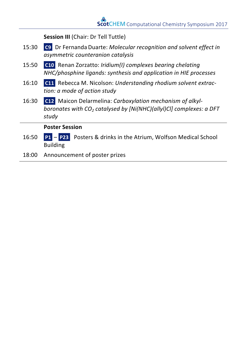**Session III** (Chair: Dr Tell Tuttle)

- 15:30 **C9** Dr Fernanda Duarte: *Molecular recognition and solvent effect in asymmetric counteranion catalysis*
- 15:50 **C10** Renan Zorzatto: *Iridium(I)* complexes bearing chelating *NHC/phosphine ligands: synthesis and application in HIE processes*
- 16:10 **C11** Rebecca M. Nicolson: Understanding rhodium solvent extrac*tion: a mode of action study*
- 16:30 **C12** Maicon Delarmelina: *Carboxylation mechanism of alkylboronates* with  $CO<sub>2</sub>$  *catalysed by [Ni(NHC)(allyl)Cl] complexes: a DFT study*

#### **Poster Session**

- 16:50 **P1 P23** Posters & drinks in the Atrium, Wolfson Medical School Building
- 18:00 Announcement of poster prizes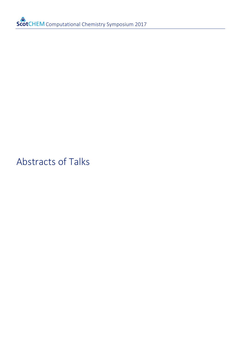Abstracts of Talks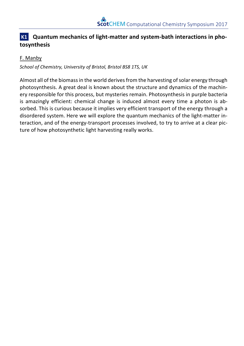#### **K1** Quantum mechanics of light-matter and system-bath interactions in pho**tosynthesis**

#### F. Manby

School of Chemistry, University of Bristol, Bristol BS8 1TS, UK

Almost all of the biomass in the world derives from the harvesting of solar energy through photosynthesis. A great deal is known about the structure and dynamics of the machinery responsible for this process, but mysteries remain. Photosynthesis in purple bacteria is amazingly efficient: chemical change is induced almost every time a photon is absorbed. This is curious because it implies very efficient transport of the energy through a disordered system. Here we will explore the quantum mechanics of the light-matter interaction, and of the energy-transport processes involved, to try to arrive at a clear picture of how photosynthetic light harvesting really works.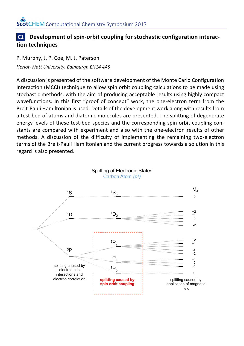#### **C1** Development of spin-orbit coupling for stochastic configuration interac**tion techniques**

P. Murphy, J. P. Coe, M. J. Paterson *Heriot-Watt University, Edinburgh EH14 4AS*

A discussion is presented of the software development of the Monte Carlo Configuration Interaction (MCCI) technique to allow spin orbit coupling calculations to be made using stochastic methods, with the aim of producing acceptable results using highly compact wavefunctions. In this first "proof of concept" work, the one-electron term from the Breit-Pauli Hamiltonian is used. Details of the development work along with results from a test-bed of atoms and diatomic molecules are presented. The splitting of degenerate energy levels of these test-bed species and the corresponding spin orbit coupling constants are compared with experiment and also with the one-electron results of other methods. A discussion of the difficulty of implementing the remaining two-electron terms of the Breit-Pauli Hamiltonian and the current progress towards a solution in this regard is also presented.

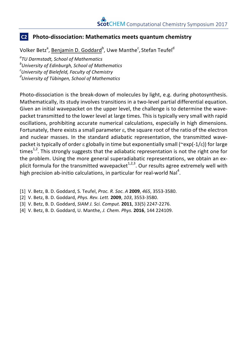#### **C2** Photo-dissociation: Mathematics meets quantum chemistry

Volker Betz<sup>a</sup>, <u>Benjamin D. Goddard</u><sup>b</sup>, Uwe Manthe<sup>c</sup>, Stefan Teufel<sup>d</sup>

*a TU Darmstadt, School of Mathematics b University of Edinburgh, School of Mathematics c University of Bielefeld, Faculty of Chemistry d University of Tübingen, School of Mathematics*

Photo-dissociation is the break-down of molecules by light, e.g. during photosynthesis. Mathematically, its study involves transitions in a two-level partial differential equation. Given an initial wavepacket on the upper level, the challenge is to determine the wavepacket transmitted to the lower level at large times. This is typically very small with rapid oscillations, prohibiting accurate numerical calculations, especially in high dimensions. Fortunately, there exists a small parameter  $\varepsilon$ , the square root of the ratio of the electron and nuclear masses. In the standard adiabatic representation, the transmitted wavepacket is typically of order  $\varepsilon$  globally in time but exponentially small (~exp(-1/ $\varepsilon$ )) for large times<sup>1,2</sup>. This strongly suggests that the adiabatic representation is not the right one for the problem. Using the more general superadiabatic representations, we obtain an explicit formula for the transmitted wavepacket<sup>1,2,3</sup>. Our results agree extremely well with high precision ab-initio calculations, in particular for real-world NaI<sup>4</sup>.

- [1] V. Betz, B. D. Goddard, S. Teufel, *Proc. R. Soc. A* **2009**, *465*, 3553-3580.
- [2] V. Betz, B. D. Goddard, *Phys. Rev. Lett.* **2009**, *103*, 3553-3580.
- [3] V. Betz, B. D. Goddard, *SIAM J. Sci. Comput.* **2011**, 33(5) 2247-2276.
- [4] V. Betz, B. D. Goddard, U. Manthe, *J. Chem. Phys.* **2016**, 144 224109.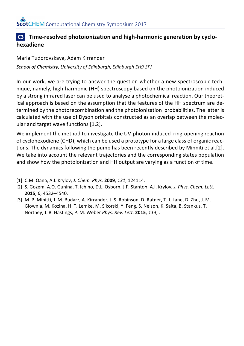#### **C3** Time-resolved photoionization and high-harmonic generation by cyclo**hexadiene**

#### Maria Tudorovskaya, Adam Kirrander

*School of Chemistry, University of Edinburgh, Edinburgh EH9 3FJ*

In our work, we are trying to answer the question whether a new spectroscopic technique, namely, high-harmonic (HH) spectroscopy based on the photoionization induced by a strong infrared laser can be used to analyse a photochemical reaction. Our theoretical approach is based on the assumption that the features of the HH spectrum are determined by the photorecombination and the photoionization probabilities. The latter is calculated with the use of Dyson orbitals constructed as an overlap between the molecular and target wave functions [1,2].

We implement the method to investigate the UV-photon-induced ring-opening reaction of cyclohexodiene (CHD), which can be used a prototype for a large class of organic reactions. The dynamics following the pump has been recently described by Minniti et al.[2]. We take into account the relevant trajectories and the corresponding states population and show how the photoionization and HH output are varying as a function of time.

- [1] C.M. Oana, A.I. Krylov, *J. Chem. Phys.* **2009**, *131*, 124114.
- [2] S. Gozem, A.O. Gunina, T. Ichino, D.L. Osborn, J.F. Stanton, A.I. Krylov, *J. Phys. Chem. Lett.* **2015**, *6*, 4532–4540.
- [3] M. P. Minitti, J. M. Budarz, A. Kirrander, J. S. Robinson, D. Ratner, T. J. Lane, D. Zhu, J. M. Glownia, M. Kozina, H. T. Lemke, M. Sikorski, Y. Feng, S. Nelson, K. Saita, B. Stankus, T. Northey, J. B. Hastings, P. M. Weber *Phys. Rev. Lett.* **2015**, *114*, .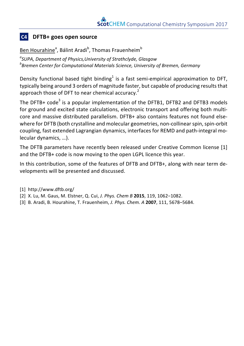#### **C4 DFTB+** goes open source

<u>Ben Hourahine</u><sup>a</sup>, Bálint Aradi<sup>b</sup>, Thomas Frauenheim<sup>b</sup>

*a SUPA, Department of Physics,University of Strathclyde, Glasgow b Bremen Center for Computational Materials Science, University of Bremen, Germany*

Density functional based tight binding<sup>1</sup> is a fast semi-empirical approximation to DFT, typically being around 3 orders of magnitude faster, but capable of producing results that approach those of DFT to near chemical accuracy.<sup>2</sup>

The DFTB+  $code^3$  is a popular implementation of the DFTB1, DFTB2 and DFTB3 models for ground and excited state calculations, electronic transport and offering both multicore and massive distributed parallelism. DFTB+ also contains features not found elsewhere for DFTB (both crystalline and molecular geometries, non-collinear spin, spin-orbit coupling, fast extended Lagrangian dynamics, interfaces for REMD and path-integral molecular dynamics, ...).

The DFTB parameters have recently been released under Creative Common license [1] and the DFTB+ code is now moving to the open LGPL licence this year.

In this contribution, some of the features of DFTB and DFTB+, along with near term developments will be presented and discussed.

- [1] http://www.dftb.org/
- [2] X. Lu, M. Gaus, M. Elstner, Q. Cui, *J. Phys. Chem B* 2015, 119, 1062-1082.
- [3] B. Aradi, B. Hourahine, T. Frauenheim, *J. Phys. Chem. A* **2007**, 111, 5678–5684.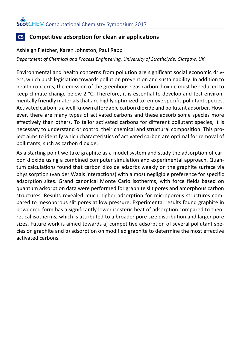#### **C5 Competitive adsorption for clean air applications**

#### Ashleigh Fletcher, Karen Johnston, Paul Rapp

*Department of Chemical and Process Engineering, University of Strathclyde, Glasgow, UK*

Environmental and health concerns from pollution are significant social economic drivers, which push legislation towards pollution prevention and sustainability. In addition to health concerns, the emission of the greenhouse gas carbon dioxide must be reduced to keep climate change below 2  $^{\circ}$ C. Therefore, it is essential to develop and test environmentally friendly materials that are highly optimized to remove specific pollutant species. Activated carbon is a well-known affordable carbon dioxide and pollutant adsorber. However, there are many types of activated carbons and these adsorb some species more effectively than others. To tailor activated carbons for different pollutant species, it is necessary to understand or control their chemical and structural composition. This project aims to identify which characteristics of activated carbon are optimal for removal of pollutants, such as carbon dioxide.

As a starting point we take graphite as a model system and study the adsorption of carbon dioxide using a combined computer simulation and experimental approach. Quantum calculations found that carbon dioxide adsorbs weakly on the graphite surface via physisorption (van der Waals interactions) with almost negligible preference for specific adsorption sites. Grand canonical Monte Carlo isotherms, with force fields based on quantum adsorption data were performed for graphite slit pores and amorphous carbon structures. Results revealed much higher adsorption for microporous structures compared to mesoporous slit pores at low pressure. Experimental results found graphite in powdered form has a significantly lower isosteric heat of adsorption compared to theoretical isotherms, which is attributed to a broader pore size distribution and larger pore sizes. Future work is aimed towards a) competitive adsorption of several pollutant species on graphite and b) adsorption on modified graphite to determine the most effective activated carbons.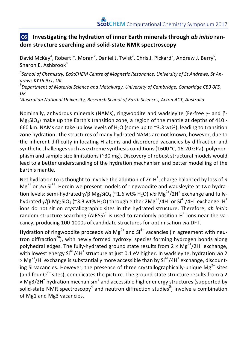#### **C6** Investigating the hydration of inner Earth minerals through *ab initio* ran**dom structure searching and solid-state NMR spectroscopy**

David McKay<sup>a</sup>, Robert F. Moran<sup>b</sup>, Daniel J. Twist<sup>a</sup>, Chris J. Pickard<sup>b</sup>, Andrew J. Berry<sup>c</sup>, Sharon E. Ashbrook<sup>a</sup>

*a School of Chemistry, EaStCHEM Centre of Magnetic Resonance, University of St Andrews, St Andrews KY16 9ST, UK <sup>b</sup>*

*Department of Material Science and Metallurgy, University of Cambridge, Cambridge CB3 0FS, UK*

*c Australian National University, Research School of Earth Sciences, Acton ACT, Australia*

Nominally, anhydrous minerals (NAMs), ringwoodite and wadsleyite (Fe-free  $\gamma$ - and  $\beta$ - $Mg_2SiO_4$ ) make up the Earth's transition zone, a region of the mantle at depths of 410 -660 km. NAMs can take up low levels of H<sub>2</sub>O (some up to  $\approx$ 3.3 wt%), leading to transition zone hydration. The structures of many hydrated NAMs are not known, however, due to the inherent difficulty in locating H atoms and disordered vacancies by diffraction and synthetic challenges such as extreme synthesis conditions  $(1600 °C, 16-20 GPa)$ , polymorphism and sample size limitations (~30 mg). Discovery of robust structural models would lead to a better understanding of the hydration mechanism and better modelling of the Earth's mantle.

Net hydration to is thought to involve the addition of  $2n H^+$ , charge balanced by loss of *n*  $Mg^{2+}$  or  $\frac{1}{2}n$  Si<sup>4+</sup>. Herein we present models of ringwoodite and wadsleyite at two hydration levels: semi-hydrated  $\gamma/\beta$  Mg<sub>2</sub>SiO<sub>4</sub> (~1.6 wt% H<sub>2</sub>O) *via* Mg<sup>2+</sup>/2H<sup>+</sup> exchange and fullyhydrated  $\gamma$ / $\beta$ -Mg<sub>2</sub>SiO<sub>4</sub> (~3.3 wt% H<sub>2</sub>O) through either  $2Mg^{2+}/4H^+$  or  $Si^{4+}/4H^+$  exchange. H<sup>+</sup> ions do not sit on crystallographic sites in the hydrated structure. Therefore, *ab initio* random structure searching  $(AIRSS)^1$  is used to randomly position  $H^+$  ions near the vacancy, producing 100-1000s of candidate structures for optimisation *via* DFT.

Hydration of ringwoodite proceeds *via* Mg<sup>2+</sup> and Si<sup>4+</sup> vacancies (in agreement with neutron diffraction<sup>2a</sup>), with newly formed hydroxyl species forming hydrogen bonds along polyhedral edges. The fully-hydrated ground state results from  $2 \times Mg^{2+}/2H^{+}$  exchange, with lowest energy  $Si^{4+}/4H^+$  structure at just 0.1 eV higher. In wadsleyite, hydration *via* 2  $\times$  Mg<sup>2+</sup>/H<sup>+</sup> exchange is substantially more accessible than by Si<sup>4+</sup>/4H<sup>+</sup> exchange, discounting Si vacancies. However, the presence of three crystallographically-unique  $Mg^{2+}$  sites (and four  $O^{2-}$  sites), complicates the picture. The ground-state structure results from a 2  $\times$  Mg3/2H<sup>+</sup> hydration mechanism<sup>3</sup> and accessible higher energy structures (supported by solid-state NMR spectroscopy<sup>4</sup> and neutron diffraction studies<sup>5</sup>) involve a combination of Mg1 and Mg3 vacancies.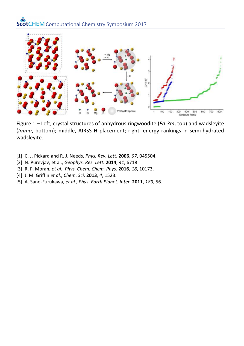

Figure 1 - Left, crystal structures of anhydrous ringwoodite (Fd-3m, top) and wadsleyite (*Imma*, bottom); middle, AIRSS H placement; right, energy rankings in semi-hydrated wadsleyite.

- [1] C. J. Pickard and R. J. Needs, *Phys. Rev. Lett*. **2006**, *97*, 045504.
- [2] N. Purevjav, et al., *Geophys. Res. Lett.* **2014**, *41*, 6718
- [3] R. F. Moran, *et al.*, *Phys. Chem. Chem. Phys.* **2016**, *18*, 10173.
- [4] J. M. Griffin *et al.*, *Chem. Sci*. **2013**, *4*, 1523.
- [5] A. Sano-Furukawa, et al., *Phys. Earth Planet. Inter.* **2011**, 189, 56.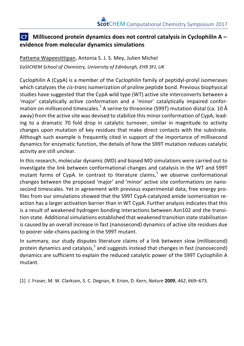#### **C7 Millisecond protein dynamics does not control catalysis in Cyclophilin A** – **evidence from molecular dynamics simulations**

Pattama Wapeesittipan, Antonia S. J. S. Mey, Julien Michel *EaStCHEM School of Chemistry, University of Edinburgh, EH9 3FJ, UK*

Cyclophilin A (CypA) is a member of the Cyclophilin family of peptidyl-prolyl isomerases which catalyzes the *cis-trans* isomerization of proline peptide bond. Previous biophysical studies have suggested that the CypA wild type (WT) active site interconverts between a 'major' catalytically active conformation and a 'minor' catalytically impaired conformation on millisecond timescales. $^1$  A serine to threonine (S99T) mutation distal (ca. 10 Å away) from the active site was devised to stabilize this minor conformation of CypA, leading to a dramatic 70 fold drop in catalytic turnover, similar in magnitude to activity changes upon mutation of key residues that make direct contacts with the substrate. Although such example is frequently cited in support of the importance of millisecond dynamics for enzymatic function, the details of how the S99T mutation reduces catalytic activity are still unclear.

In this research, molecular dynamic (MD) and biased MD simulations were carried out to investigate the link between conformational changes and catalysis in the WT and S99T mutant forms of CypA. In contrast to literature claims, $1$  we observe conformational changes between the proposed 'major' and 'minor' active site conformations on nanosecond timescales. Yet in agreement with previous experimental data, free energy profiles from our simulations showed that the S99T CypA-catalyzed amide isomerization reaction has a larger activation barrier than in WT CypA. Further analysis indicates that this is a result of weakened hydrogen bonding interactions between Asn102 and the transition state. Additional simulations established that weakened transition state stabilisation is caused by an overall increase in fast (nanosecond) dynamics of active site residues due to poorer side-chains packing in the S99T mutant.

In summary, our study disputes literature claims of a link between slow (millisecond) protein dynamics and catalysis, $<sup>1</sup>$  and suggests instead that changes in fast (nanosecond)</sup> dynamics are sufficient to explain the reduced catalytic power of the S99T Cyclophilin A mutant. 

[1] J. Fraser, M. W. Clarkson, S. C. Degnan, R. Erion, D. Kern, *Nature* **2009**, *462*, 669–673.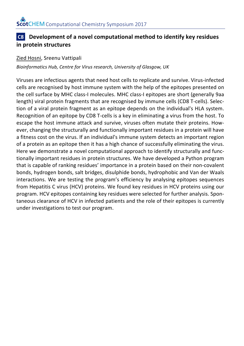#### **C8 Development of a novel computational method to identify key residues in protein structures**

#### Zied Hosni, Sreenu Vattipali

*Bioinformatics Hub, Centre for Virus research, University of Glasgow, UK*

Viruses are infectious agents that need host cells to replicate and survive. Virus-infected cells are recognised by host immune system with the help of the epitopes presented on the cell surface by MHC class-I molecules. MHC class-I epitopes are short (generally 9aa length) viral protein fragments that are recognised by immune cells (CD8 T-cells). Selection of a viral protein fragment as an epitope depends on the individual's HLA system. Recognition of an epitope by CD8 T-cells is a key in eliminating a virus from the host. To escape the host immune attack and survive, viruses often mutate their proteins. However, changing the structurally and functionally important residues in a protein will have a fitness cost on the virus. If an individual's immune system detects an important region of a protein as an epitope then it has a high chance of successfully eliminating the virus. Here we demonstrate a novel computational approach to identify structurally and functionally important residues in protein structures. We have developed a Python program that is capable of ranking residues' importance in a protein based on their non-covalent bonds, hydrogen bonds, salt bridges, disulphide bonds, hydrophobic and Van der Waals interactions. We are testing the program's efficiency by analysing epitopes sequences from Hepatitis C virus (HCV) proteins. We found key residues in HCV proteins using our program. HCV epitopes containing key residues were selected for further analysis. Spontaneous clearance of HCV in infected patients and the role of their epitopes is currently under investigations to test our program.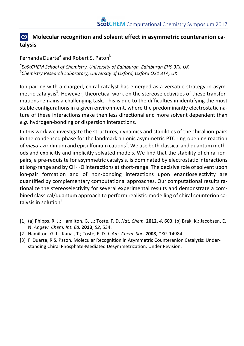#### **C9** Molecular recognition and solvent effect in asymmetric counteranion ca**talysis**

#### Fernanda Duarte<sup>a</sup> and Robert S. Paton<sup>b</sup>

*a*<br>BastCHEM School of Chemistry, University of Edinburgh, Edinburgh EH9 3FJ, UK<br>behamistry Research Leherstery, University of Oxford, Oxford OX1, 2TA, UK *Chemistry Research Laboratory, University of Oxford, Oxford OX1 3TA, UK*

Ion-pairing with a charged, chiral catalyst has emerged as a versatile strategy in asymmetric catalysis $^1$ . However, theoretical work on the stereoselectivities of these transformations remains a challenging task. This is due to the difficulties in identifying the most stable configurations in a given environment, where the predominantly electrostatic nature of these interactions make then less directional and more solvent dependent than e.a. hydrogen-bonding or dispersion interactions.

In this work we investigate the structures, dynamics and stabilities of the chiral ion-pairs in the condensed phase for the landmark anionic asymmetric PTC ring-opening reaction of *meso*-aziridinium and episulfonium cations<sup>2</sup>. We use both classical and quantum methods and explicitly and implicitly solvated models. We find that the stability of chiral ionpairs, a pre-requisite for asymmetric catalysis, is dominated by electrostatic interactions at long-range and by  $CH...O$  interactions at short-range. The decisive role of solvent upon ion-pair formation and of non-bonding interactions upon enantioselectivity are quantified by complementary computational approaches. Our computational results rationalize the stereoselectivity for several experimental results and demonstrate a combined classical/quantum approach to perform realistic-modelling of chiral counterion catalysis in solution<sup>3</sup>.

- [1] (a) Phipps, R. J.; Hamilton, G. L.; Toste, F. D. *Nat. Chem.* **2012**, 4, 603. (b) Brak, K.; Jacobsen, E. N. *Angew. Chem. Int. Ed.* **2013**, *52*, 534.
- [2] Hamilton, G. L.; Kanai, T.; Toste, F. D. *J. Am. Chem. Soc.* **2008**, 130, 14984.
- [3] F. Duarte, R S. Paton. Molecular Recognition in Asymmetric Counteranion Catalysis: Understanding Chiral Phosphate-Mediated Desymmetrization. Under Revision.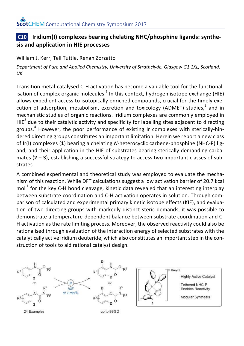#### **C10** *Iridium(I)* **complexes bearing chelating NHC/phosphine ligands: synthesis and application in HIE processes**

#### William J. Kerr, Tell Tuttle, Renan Zorzatto

Department of Pure and Applied Chemistry, University of Strathclyde, Glasgow G1 1XL, Scotland, *UK*

Transition metal-catalysed C-H activation has become a valuable tool for the functionalisation of complex organic molecules.<sup>1</sup> In this context, hydrogen isotope exchange (HIE) allows expedient access to isotopically enriched compounds, crucial for the timely execution of adsorption, metabolism, excretion and toxicology (ADMET) studies,<sup>2</sup> and in mechanistic studies of organic reactions. Iridium complexes are commonly employed in  $HIE<sup>3</sup>$  due to their catalytic activity and specificity for labelling sites adiacent to directing groups.<sup>4</sup> However, the poor performance of existing Ir complexes with sterically-hindered directing groups constitutes an important limitation. Herein we report a new class of Ir(I) complexes (1) bearing a chelating N-heterocyclic carbene-phosphine (NHC-P) ligand, and their application in the HIE of substrates bearing sterically demanding carbamates  $(2 - 3)$ , establishing a successful strategy to access two important classes of substrates. 

A combined experimental and theoretical study was employed to evaluate the mechanism of this reaction. While DFT calculations suggest a low activation barrier of 20.7 kcal  $mol<sup>-1</sup>$  for the key C-H bond cleavage, kinetic data revealed that an interesting interplay between substrate coordination and C-H activation operates in solution. Through comparison of calculated and experimental primary kinetic isotope effects (KIE), and evaluation of two directing groups with markedly distinct steric demands, it was possible to demonstrate a temperature-dependent balance between substrate coordination and C-H activation as the rate limiting process. Moreover, the observed reactivity could also be rationalised through evaluation of the interaction energy of selected substrates with the catalytically active iridium deuteride, which also constitutes an important step in the construction of tools to aid rational catalyst design.

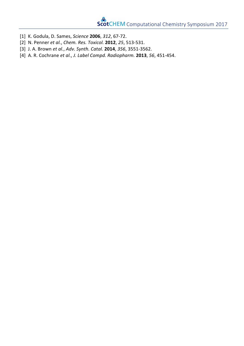- [1] K. Godula, D. Sames, *Science* **2006**, *312*, 67-72.
- [2] N. Penner *et al.*, *Chem. Res. Toxicol.* **2012**, *25*, 513-531.
- [3] J. A. Brown *et al.*, *Adv. Synth. Catal.* **2014**, *356*, 3551-3562.
- [4] A. R. Cochrane *et al.*, *J. Label Compd. Radiopharm.* **2013**, *56*, 451-454.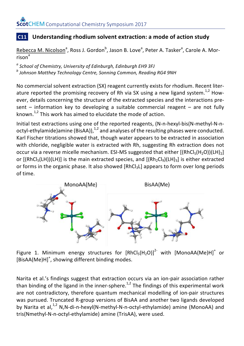#### **C11** Understanding rhodium solvent extraction: a mode of action study

Rebecca M. Nicolson<sup>a</sup>, Ross J. Gordon<sup>b</sup>, Jason B. Love<sup>a</sup>, Peter A. Tasker<sup>a</sup>, Carole A. Mor $rison<sup>a</sup>$ 

*<sup>a</sup> School of Chemistry, University of Edinburgh, Edinburgh EH9 3FJ <sup>b</sup> Johnson Matthey Technology Centre, Sonning Common, Reading RG4 9NH*

No commercial solvent extraction (SX) reagent currently exists for rhodium. Recent literature reported the promising recovery of Rh via SX using a new ligand system.<sup>1,2</sup> However, details concerning the structure of the extracted species and the interactions present  $-$  information key to developing a suitable commercial reagent  $-$  are not fully known.<sup>1,2</sup> This work has aimed to elucidate the mode of action.

Initial test extractions using one of the reported reagents, (N-n-hexyl-bis(N-methyl-N-noctyl-ethylamide)amine (BisAA)), $1/2$  and analyses of the resulting phases were conducted. Karl Fischer titrations showed that, though water appears to be extracted in association with chloride, negligible water is extracted with Rh, suggesting Rh extraction does not occur via a reverse micelle mechanism. ESI-MS suggested that either  $[(RhCl<sub>5</sub>(H<sub>2</sub>O))(LH)<sub>2</sub>]$ or  $[(RhCl<sub>5</sub>(LH))(LH)]$  is the main extracted species, and  $[(Rh<sub>2</sub>Cl<sub>9</sub>)(LH)<sub>3</sub>]$  is either extracted or forms in the organic phase. It also showed  $[RhCl<sub>3</sub>L]$  appears to form over long periods of time.



Figure 1. Minimum energy structures for  $[RhCl<sub>5</sub>(H<sub>2</sub>O)]<sup>2</sup>$  with  $[MonoAA(Me)H]<sup>+</sup>$  or [BisAA(Me)H]<sup>+</sup>, showing different binding modes.

Narita et al.'s findings suggest that extraction occurs via an ion-pair association rather than binding of the ligand in the inner-sphere.<sup>1,2</sup> The findings of this experimental work are not contradictory, therefore quantum mechanical modelling of ion-pair structures was pursued. Truncated R-group versions of BisAA and another two ligands developed by Narita et al,<sup>1,2</sup> N,N-di-n-hexyl(N-methyl-N-n-octyl-ethylamide) amine (MonoAA) and tris(Nmethyl-N-n-octyl-ethylamide) amine (TrisAA), were used.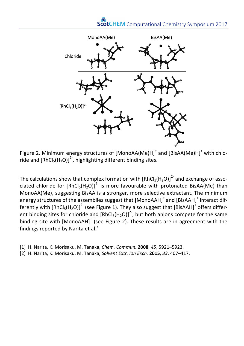

Figure 2. Minimum energy structures of  $[MonoAA(Me)H]^+$  and  $[BisAA(Me)H]^+$  with chloride and  $[RhCl_5(H_2O)]^2$ , highlighting different binding sites.

The calculations show that complex formation with  $\text{[RhCl}_5(\text{H}_2\text{O)}]^2$  and exchange of associated chloride for  $[RhCl<sub>5</sub>(H<sub>2</sub>O)]<sup>2</sup>$  is more favourable with protonated BisAA(Me) than MonoAA(Me), suggesting BisAA is a stronger, more selective extractant. The minimum energy structures of the assemblies suggest that  $[MonoAAH]^+$  and  $[BisAAH]^+$  interact differently with  $\text{[RhCl}_{5}(\text{H}_{2}\text{O})\text{]}^{2}$  (see Figure 1). They also suggest that  $\text{[BisAAH]}^{+}$  offers different binding sites for chloride and  $[RhCl_5(H_2O)]^2$ , but both anions compete for the same binding site with [MonoAAH]<sup>+</sup> (see Figure 2). These results are in agreement with the findings reported by Narita et al.<sup>2</sup>

- [1] H. Narita, K. Morisaku, M. Tanaka, *Chem. Commun.* **2008**, *45*, 5921–5923.
- [2] H. Narita, K. Morisaku, M. Tanaka, *Solvent Extr. Ion Exch.* **2015**, *33*, 407–417.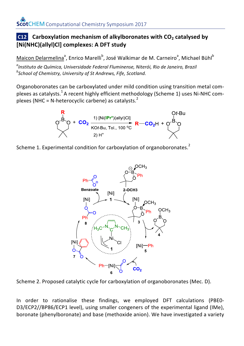### **C12** Carboxylation mechanism of alkylboronates with CO<sub>2</sub> catalysed by  $\bm{\mathsf{[Ni(NHC)(allyI)Cl]}}$  complexes: A DFT study

Maicon Delarmelina<mark>e,</mark> Enrico Marelli<sup>b</sup>, José Walkimar de M. Carne<u>iro<sup>a</sup>,</u> Michael Bühl<sup>b</sup> a<br>Instituto de Química, Universidade Federal Melliphease, Niterói, Rio de Janeiro, Brazil<br>Pseheel of Chamists Que De tu**COest Anglicus, Lite Co. Brazi**COeH + O<sup>s D</sup>.O. *School of Chemistry, University of St Andrews, Fife, Scotland. School of Chemistry, University of St Andrews, Fife, Scotland. Instituto de Química, Universidade Federal Fluminense, Niterói, Rio de Janeiro, Brazil.* heterocyclic carbene) as catalysts.<sup>2</sup>

Organoboronates can be carboxylated under mild condition using transition metal complexes as catalysts.  $^1$  A recent highly efficient methodology (Scheme 1) uses Ni-NHC complexes (NHC = N-heterocyclic carbene) as catalysts.<sup>2</sup>







D3/ECP2//BP86/ECP1 levelt, using smaller congeners of the experimental ligand (IMe), boronate (phenylboronate) and base (methoxide anion). We have investigated a variety

 $Ph$ <sup> $-[Ni]$ </sup>  $\frac{1}{2}$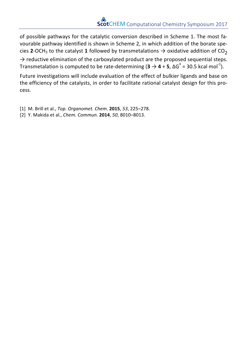of possible pathways for the catalytic conversion described in Scheme 1. The most favourable pathway identified is shown in Scheme 2, in which addition of the borate species **2**-OCH<sub>3</sub> to the catalyst **1** followed by transmetalations  $\rightarrow$  oxidative addition of CO<sub>2</sub>

 $\rightarrow$  reductive elimination of the carboxylated product are the proposed sequential steps. Transmetalation is computed to be rate-determining (**3**  $\rightarrow$  **4** + **5**, ΔG<sup>‡</sup> = 30.5 kcal mol<sup>-1</sup>).

Future investigations will include evaluation of the effect of bulkier ligands and base on the efficiency of the catalysts, in order to facilitate rational catalyst design for this process. 

- [1] M. Brill et al., *Top. Organomet. Chem.* **2015**, *53*, 225–278.
- [2] Y. Makida et al., *Chem. Commun.* **2014**, *50*, 8010–8013.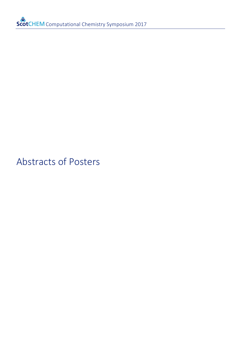## Abstracts of Posters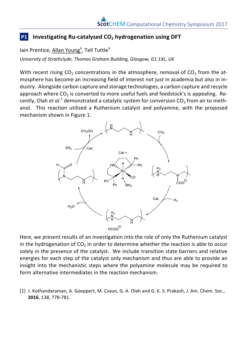#### **P1 Investigating Ru-catalysed CO<sub>2</sub> hydrogenation using DFT**

lain Prentice, Allan Young<sup>a</sup>, Tell Tuttle<sup>a</sup>

*University of Strathclyde, Thomas Graham Building, Glasgow, G1 1XL, UK*

With recent rising  $CO<sub>2</sub>$  concentrations in the atmosphere, removal of  $CO<sub>2</sub>$  from the atmosphere has become an increasing field of interest not just in academia but also in industry. Alongside carbon capture and storage technologies, a carbon capture and recycle approach where  $CO<sub>2</sub>$  is converted to more useful fuels and feedstock's is appealing. Recently, Olah *et al*.<sup>1</sup> demonstrated a catalytic system for conversion CO<sub>2</sub> from air to methanol. This reaction utilised a Ruthenium catalyst and polyamine, with the proposed mechanism shown in Figure 1.



Here, we present results of an investigation into the role of only the Ruthenium catalyst in the hydrogenation of  $CO<sub>2</sub>$  in order to determine whether the reaction is able to occur solely in the presence of the catalyst. We include transition state barriers and relative energies for each step of the catalyst only mechanism and thus are able to provide an insight into the mechanistic steps where the polyamine molecule may be required to form alternative intermediates in the reaction mechanism.

[1] J. Kothandaraman, A. Goeppert, M. Czaun, G. A. Olah and G. K. S. Prakash, J. Am. Chem. Soc., **2016**, 138, 778-781.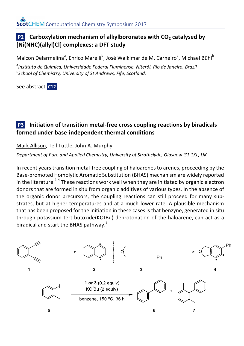#### **P2** Carboxylation mechanism of alkylboronates with CO<sub>2</sub> catalysed by **[Ni(NHC)(allyl)Cl] complexes: a DFT study**

Maicon Delarmelina<sup>a</sup>, Enrico Marelli<sup>b</sup>, José Walkimar de M. Carneiro<sup>a</sup>, Michael Bühl<sup>b</sup>

*a Instituto de Química, Universidade Federal Fluminense, Niterói, Rio de Janeiro, Brazil b School of Chemistry, University of St Andrews, Fife, Scotland.*

See abstract **C12**.

#### **P3** Initiation of transition metal-free cross coupling reactions by biradicals formed under base-independent thermal conditions

#### Mark Allison, Tell Tuttle, John A. Murphy

Department of Pure and Applied Chemistry, University of Strathclyde, Glasgow G1 1XL, UK

In recent years transition metal-free coupling of haloarenes to arenes, proceeding by the Base-promoted Homolytic Aromatic Substitution (BHAS) mechanism are widely reported in the literature.<sup>1-4</sup> These reactions work well when they are initiated by organic electron donors that are formed in situ from organic additives of various types. In the absence of the organic donor precursors, the coupling reactions can still proceed for many substrates, but at higher temperatures and at a much lower rate. A plausible mechanism that has been proposed for the initiation in these cases is that benzyne, generated in situ through potassium tert-butoxide(KOtBu) deprotonation of the haloarene, can act as a biradical and start the BHAS pathway.<sup>3</sup>

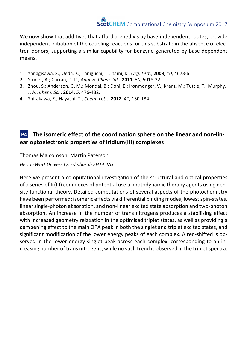We now show that additives that afford arenediyls by base-independent routes, provide independent initiation of the coupling reactions for this substrate in the absence of electron donors, supporting a similar capability for benzyne generated by base-dependent means.

- 1. Yanagisawa, S.; Ueda, K.; Taniguchi, T.; Itami, K., *Org*. *Lett*., **2008**, *10*, 4673-6.
- 2. Studer, A.; Curran, D. P., Angew. Chem. Int., 2011, 50, 5018-22.
- 3. Zhou, S.; Anderson, G. M.; Mondal, B.; Doni, E.; Ironmonger, V.; Kranz, M.; Tuttle, T.; Murphy, J. A., *Chem*. *Sci*., **2014**, *5*, 476-482.
- 4. Shirakawa, E.; Hayashi, T., *Chem*. *Lett*., **2012**, *41*, 130-134

#### **P4** The isomeric effect of the coordination sphere on the linear and non-lin**ear optoelectronic properties of iridium(III) complexes**

#### Thomas Malcomson, Martin Paterson

*Heriot-Watt University, Edinburgh EH14 4AS*

Here we present a computational investigation of the structural and optical properties of a series of Ir(III) complexes of potential use a photodynamic therapy agents using density functional theory. Detailed computations of several aspects of the photochemistry have been performed: isomeric effects via differential binding modes, lowest spin-states, linear single-photon absorption, and non-linear excited state absorption and two-photon absorption. An increase in the number of trans nitrogens produces a stabilising effect with increased geometry relaxation in the optimised triplet states, as well as providing a dampening effect to the main OPA peak in both the singlet and triplet excited states, and significant modification of the lower energy peaks of each complex. A red-shifted is observed in the lower energy singlet peak across each complex, corresponding to an increasing number of trans nitrogens, while no such trend is observed in the triplet spectra.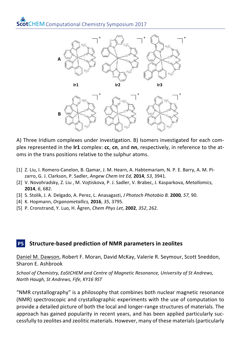

A) Three Iridium complexes under investigation. B) Isomers investigated for each complex represented in the **Ir1** complex: cc, cn, and nn, respectively, in reference to the atoms in the trans positions relative to the sulphur atoms.

- [1] Z. Liu, I. Romero-Canelon, B. Qamar, J. M. Hearn, A. Habtemariam, N. P. E. Barry, A. M. Pizarro, G. J. Clarkson, P. Sadler, *Angew Chem Int Ed*, **2014**, 53, 3941.
- [2] V. Novohradsky, Z. Liu, M. Vojtiskova, P. J. Sadler, V. Brabec, J. Kasparkova, *Metallomics,* **2014**, 6, 682.
- [3] S. Stolik, J. A. Delgado, A. Perez, L. Anasagasti, *J Photoch Photobio B.* **2000***, 57,* 90.
- [4] K. Hopmann, *Organometallics,* **2016**, *35*, 3795.
- [5] P. Cronstrand, Y. Luo, H. Ågren, *Chem Phys Let,* **2002**, *352*, 262.

#### **P5** Structure-based prediction of NMR parameters in zeolites

Daniel M. Dawson, Robert F. Moran, David McKay, Valerie R. Seymour, Scott Sneddon, Sharon E. Ashbrook

School of Chemistry, EaStCHEM and Centre of Magnetic Resonance, University of St Andrews, *North Haugh, St Andrews, Fife, KY16 9ST*

"NMR crystallography" is a philosophy that combines both nuclear magnetic resonance (NMR) spectroscopic and crystallographic experiments with the use of computation to provide a detailed picture of both the local and longer-range structures of materials. The approach has gained popularity in recent years, and has been applied particularly successfully to zeolites and zeolitic materials. However, many of these materials (particularly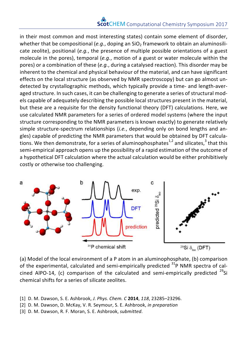in their most common and most interesting states) contain some element of disorder, whether that be compositional  $(e.a., do)$  doping an  $SiO<sub>2</sub>$  framework to obtain an aluminosilicate zeolite), positional  $(e.q.,$  the presence of multiple possible orientations of a guest molecule in the pores), temporal  $(e.a., \text{ motion of a guest or water molecule within the})$ pores) or a combination of these (e.g., during a catalysed reaction). This disorder may be inherent to the chemical and physical behaviour of the material, and can have significant effects on the local structure (as observed by NMR spectroscopy) but can go almost undetected by crystallographic methods, which typically provide a time- and length-averaged structure. In such cases, it can be challenging to generate a series of structural models capable of adequately describing the possible local structures present in the material, but these are a requisite for the density functional theory (DFT) calculations. Here, we use calculated NMR parameters for a series of ordered model systems (where the input structure corresponding to the NMR parameters is known exactly) to generate relatively simple structure-spectrum relationships (*i.e.*, depending only on bond lengths and angles) capable of predicting the NMR parameters that would be obtained by DFT calculations. We then demonstrate, for a series of aluminophosphates<sup>1,2</sup> and silicates,<sup>3</sup> that this semi-empirical approach opens up the possibility of a rapid estimation of the outcome of a hypothetical DFT calculation where the actual calculation would be either prohibitively costly or otherwise too challenging.



(a) Model of the local environment of a P atom in an aluminophosphate, (b) comparison of the experimental, calculated and semi-empirically predicted  $31P$  NMR spectra of calcined AlPO-14, (c) comparison of the calculated and semi-empirically predicted  $^{29}$ Si chemical shifts for a series of silicate zeolites.

<sup>[1]</sup> D. M. Dawson, S. E. Ashbrook, *J. Phys. Chem. C* 2014, 118, 23285–23296.

<sup>[2]</sup> D. M. Dawson, D. McKay, V. R. Seymour, S. E. Ashbrook, *in preparation*

<sup>[3]</sup> D. M. Dawson, R. F. Moran, S. E. Ashbrook, *submitted*.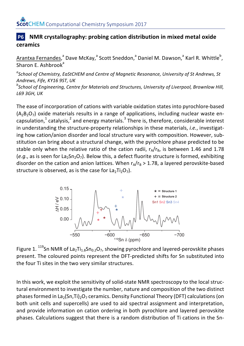#### **P6 NMR** crystallography: probing cation distribution in mixed metal oxide **ceramics**

Arantxa Fernandes,<sup>a</sup> Dave McKay,<sup>a</sup> Scott Sneddon,<sup>a</sup> Daniel M. Dawson,<sup>a</sup> Karl R. Whittle<sup>b</sup>, Sharon  $F$ . Ashbrook $^a$ 

<sup>a</sup> School of Chemistry, EaStCHEM and Centre of Magnetic Resonance, University of St Andrews, St *Andrews, Fife, KY16 9ST, UK* <sup>b</sup> School of Engineering, Centre for Materials and Structures, University of Liverpool, Brownlow Hill,

*L69 3GH, UK*

The ease of incorporation of cations with variable oxidation states into pyrochlore-based  $(A_2B_2O_7)$  oxide materials results in a range of applications, including nuclear waste encapsulation,<sup>1</sup> catalysis,<sup>2</sup> and energy materials.<sup>3</sup> There is, therefore, considerable interest in understanding the structure-property relationships in these materials, *i.e.*, investigating how cation/anion disorder and local structure vary with composition. However, substitution can bring about a structural change, with the pyrochlore phase predicted to be stable only when the relative ratio of the cation radii,  $r_A/r_B$ , is between 1.46 and 1.78  $(e,q)$ , as is seen for La<sub>2</sub>Sn<sub>2</sub>O<sub>7</sub>). Below this, a defect fluorite structure is formed, exhibiting disorder on the cation and anion lattices. When  $r_A/r_B > 1.78$ , a layered perovskite-based structure is observed, as is the case for  $La_2Ti_2O_7$ ).



Figure 1.  $^{119}$ Sn NMR of La<sub>2</sub>Ti<sub>1.8</sub>Sn<sub>0.2</sub>O<sub>7</sub>, showing pyrochlore and layered-perovskite phases present. The coloured points represent the DFT-predicted shifts for Sn substituted into the four Ti sites in the two very similar structures.

In this work, we exploit the sensitivity of solid-state NMR spectroscopy to the local structural environment to investigate the number, nature and composition of the two distinct phases formed in La<sub>2</sub>(Sn,Ti)<sub>2</sub>O<sub>7</sub> ceramics. Density Functional Theory (DFT) calculations (on both unit cells and supercells) are used to aid spectral assignment and interpretation, and provide information on cation ordering in both pyrochlore and layered perovskite phases. Calculations suggest that there is a random distribution of Ti cations in the Sn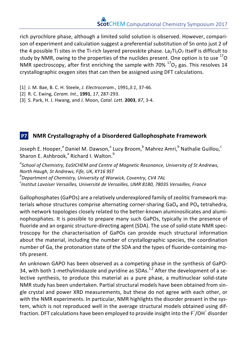rich pyrochlore phase, although a limited solid solution is observed. However, comparison of experiment and calculation suggest a preferential substitution of Sn onto just 2 of the 4 possible Ti sites in the Ti-rich layered perovskite phase. La<sub>2</sub>Ti<sub>2</sub>O<sub>7</sub> itself is difficult to study by NMR, owing to the properties of the nuclides present. One option is to use  $^{17}$ O NMR spectroscopy, after first enriching the sample with  $70\%$   $^{17}$ O<sub>2</sub> gas. This resolves 14 crystallographic oxygen sites that can then be assigned using DFT calculations.

- [1] J. M. Bae, B. C. H. Steele, *J. Electroceram.*, 1991,*3:1*, 37-46.
- [2] R. C. Ewing, *Ceram. Int.*, **1991**, *17*, 287-293.
- [3] S. Park, H. J. Hwang, and J. Moon, *Catal. Lett.* **2003**, 87, 3-4.

#### **P7 NMR Crystallography of a Disordered Gallophosphate Framework**

Joseph E. Hooper,<sup>a</sup> Daniel M. Dawson,<sup>a</sup> Lucy Broom,<sup>b</sup> Mahrez Amri,<sup>b</sup> Nathalie Guillou,<sup>c</sup> Sharon E. Ashbrook,<sup>a</sup> Richard I. Walton.<sup>b</sup>

<sup>a</sup> School of Chemistry, EaStCHEM and Centre of Magnetic Resonance, University of St Andrews, *North Haugh, St Andrews, Fife, UK, KY16 9ST <sup>b</sup>* <sup>*b*</sup> Department of Chemistry, University of Warwick, Coventry, CV4 7AL *c Institut Lavoiser Versailles, Université de Versailles, UMR 8180, 78035 Versailles, France*

Gallophosphates (GaPOs) are a relatively underexplored family of zeolitic framework materials whose structures comprise alternating corner-sharing  $GaO<sub>4</sub>$  and PO<sub>4</sub> tetrahedra, with network topologies closely related to the better-known aluminosilicates and aluminophosphates. It is possible to prepare many such GaPOs, typically in the presence of fluoride and an organic structure-directing agent (SDA). The use of solid-state NMR spectroscopy for the characterisation of GaPOs can provide much structural information about the material, including the number of crystallographic species, the coordination number of Ga, the protonation state of the SDA and the types of fluoride-containing motifs present.

An unknown GAPO has been observed as a competing phase in the synthesis of GaPO-34, with both 1-methylimidazole and pyridine as SDAs.<sup>1,2</sup> After the development of a selective synthesis, to produce this material as a pure phase, a multinuclear solid-state NMR study has been undertaken. Partial structural models have been obtained from single crystal and power XRD measurements, but these do not agree with each other, or with the NMR experiments. In particular, NMR highlights the disorder present in the system, which is not reproduced well in the average structural models obtained using diffraction. DFT calculations have been employed to provide insight into the F<sup>-</sup>/OH<sup>-</sup> disorder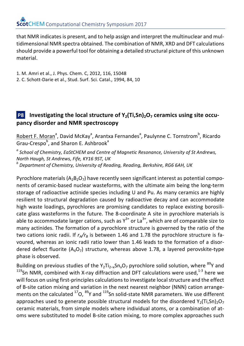that NMR indicates is present, and to help assign and interpret the multinuclear and multidimensional NMR spectra obtained. The combination of NMR, XRD and DFT calculations should provide a powerful tool for obtaining a detailed structural picture of this unknown material. 

- 1. M. Amri et al., J. Phys. Chem. C, 2012, 116, 15048
- 2. C. Schott-Darie et al., Stud. Surf. Sci. Catal., 1994, 84, 10

#### **P8** Investigating the local structure of  $Y_2(T_i, Sn)$ , ceramics using site occu**pancy disorder and NMR spectroscopy**

Robert F. Moran<sup>a</sup>, David McKay<sup>a</sup>, Arantxa Fernandes<sup>a</sup>, Paulynne C. Tornstrom<sup>b</sup>, Ricardo Grau-Crespo<sup>b</sup>, and Sharon E. Ashbrook<sup>a</sup>

<sup>*a*</sup> School of Chemistry, EaStCHEM and Centre of Magnetic Resonance, University of St Andrews, *North Haugh, St Andrews, Fife, KY16 9ST, UK <sup>b</sup> Department of Chemistry, University of Reading, Reading, Berkshire, RG6 6AH, UK*

Pyrochlore materials  $(A_2B_2O_7)$  have recently seen significant interest as potential components of ceramic-based nuclear wasteforms, with the ultimate aim being the long-term storage of radioactive actinide species including U and Pu. As many ceramics are highly resilient to structural degradation caused by radioactive decay and can accommodate high waste loadings, pyrochlores are promising candidates to replace existing borosilicate glass wasteforms in the future. The 8-coordinate A site in pyrochlore materials is able to accommodate larger cations, such as  $Y^{3+}$  or La<sup>3+</sup>, which are of comparable size to many actinides. The formation of a pyrochlore structure is governed by the ratio of the two cations ionic radii. If  $r_A/r_B$  is between 1.46 and 1.78 the pyrochlore structure is favoured, whereas an ionic radii ratio lower than 1.46 leads to the formation of a disordered defect fluorite  $(A_4O_7)$  structure, whereas above 1.78, a layered perovskite-type phase is observed.

Building on previous studies of the Y<sub>2</sub>Ti<sub>2–x</sub>Sn<sub>x</sub>O<sub>7</sub> pyrochlore solid solution, where <sup>89</sup>Y and  $^{119}$  Sn NMR, combined with X-ray diffraction and DFT calculations were used,<sup>1-3</sup> here we will focus on using first-principles calculations to investigate local structure and the effect of B-site cation mixing and variation in the next nearest neighbor (NNN) cation arrangements on the calculated  $^{17}O$ ,  $^{89}$ Y and  $^{119}$ Sn solid-state NMR parameters. We use different approaches used to generate possible structural models for the disordered  $Y_2(T_i,Sn)2O_7$ ceramic materials, from simple models where individual atoms, or a combination of atoms were substituted to model B-site cation mixing, to more complex approaches such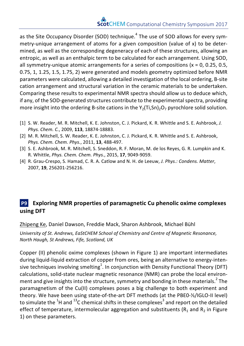as the Site Occupancy Disorder (SOD) technique.<sup>4</sup> The use of SOD allows for every symmetry-unique arrangement of atoms for a given composition (value of x) to be determined, as well as the corresponding degeneracy of each of these structures, allowing an entropic, as well as an enthalpic term to be calculated for each arrangement. Using SOD, all symmetry-unique atomic arrangements for a series of compositions  $(x = 0, 0.25, 0.5, ...)$ 0.75, 1, 1.25, 1.5, 1.75, 2) were generated and models geometry optimized before NMR parameters were calculated, allowing a detailed investigation of the local ordering, B-site cation arrangement and structural variation in the ceramic materials to be undertaken. Comparing these results to experimental NMR spectra should allow us to deduce which, if any, of the SOD-generated structures contribute to the experimental spectra, providing more insight into the ordering B-site cations in the  $Y_2(T_i,Sn)$ , pyrochlore solid solution.

- [1] S. W. Reader, M. R. Mitchell, K. E. Johnston, C. J. Pickard, K. R. Whittle and S. E. Ashbrook, *J. Phys. Chem. C.*, 2009, **113**, 18874-18883.
- [2] M. R. Mitchell, S. W. Reader, K. E. Johnston, C. J. Pickard, K. R. Whittle and S. E. Ashbrook, *Phys. Chem. Chem. Phys.*, 2011, **13**, 488-497.
- [3] S. E. Ashbrook, M. R. Mitchell, S. Sneddon, R. F. Moran, M. de los Reyes, G. R. Lumpkin and K. R. Whittle, *Phys. Chem. Chem. Phys.*, 2015, **17**, 9049-9059.
- [4] R. Grau-Crespo, S. Hamad, C. R. A. Catlow and N. H. de Leeuw, *J. Phys.: Condens. Matter*, 2007, **19**, 256201-256216.

#### **P9 Exploring NMR** properties of paramagnetic Cu phenolic oxime complexes **using DFT**

Zhipeng Ke, Daniel Dawson, Freddie Mack, Sharon Ashbrook, Michael Bühl

University of St. Andrews, EaStCHEM School of Chemistry and Centre of Magnetic Resonance, *North Haugh, St Andrews, Fife, Scotland, UK*

Copper (II) phenolic oxime complexes (shown in Figure 1) are important intermediates during liquid-liquid extraction of copper from ores, being an alternative to energy-intensive techniques involving smelting $^1$ . In conjunction with Density Functional Theory (DFT) calculations, solid-state nuclear magnetic resonance (NMR) can probe the local environment and give insights into the structure, symmetry and bonding in these materials.<sup>2</sup> The paramagnetism of the Cu(II) complexes poses a big challenge to both experiment and theory. We have been using state-of-the-art DFT methods (at the PBE0-⅓/IGLO-II level) to simulate the <sup>1</sup>H and <sup>13</sup>C chemical shifts in these complexes<sup>3</sup> and report on the detailed effect of temperature, intermolecular aggregation and substituents ( $R_1$  and  $R_2$  in Figure 1) on these parameters.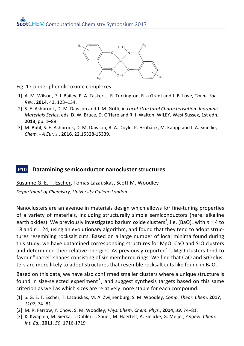

- Fig. 1 Copper phenolic oxime complexes
- [1] A. M. Wilson, P. J. Bailey, P. A. Tasker, J. R. Turkington, R. a Grant and J. B. Love, *Chem. Soc. Rev.*, **2014**, 43, 123–134.
- [2] S. E. Ashbrook, D. M. Dawson and J. M. Griffi, in *Local Structural Characterisation: Inorganic Materials Series*, eds. D. W. Bruce, D. O'Hare and R. I. Walton, WILEY, West Sussex, 1st edn., **2013**, pp. 1–88.
- [3] M. Bühl, S. E. Ashbrook, D. M. Dawson, R. A. Doyle, P. Hrobárik, M. Kaupp and I. A. Smellie, *Chem. - A Eur. J.*, **2016**, 22,15328-15339.

#### **P10** Datamining semiconductor nanocluster structures

Susanne G. E. T. Escher, Tomas Lazauskas, Scott M. Woodley

*Department of Chemistry, University College London*

Nanoclusters are an avenue in materials design which allows for fine-tuning properties of a variety of materials, including structurally simple semiconductors (here: alkaline earth oxides). We previously investigated barium oxide clusters<sup>1</sup>, i.e. (BaO)<sub>n</sub> with  $n$  = 4 to 18 and  $n = 24$ , using an evolutionary algorithm, and found that they tend to adopt structures resembling rocksalt cuts. Based on a large number of local minima found during this study, we have datamined corresponding structures for MgO, CaO and SrO clusters and determined their relative energies. As previously reported<sup>2,3</sup>, MgO clusters tend to favour "barrel" shapes consisting of six-membered rings. We find that CaO and SrO clusters are more likely to adopt structures that resemble rocksalt cuts like found in BaO.

Based on this data, we have also confirmed smaller clusters where a unique structure is found in size-selected experiment<sup>3</sup>, and suggest synthesis targets based on this same criterion as well as which sizes are relatively more stable for each compound.

- [1] S. G. E. T. Escher, T. Lazauskas, M. A. Zwijnenburg, S. M. Woodley, *Comp. Theor. Chem.* **2017**, *1107*, 74–81.
- [2] M. R. Farrow, Y. Chow, S. M. Woodley, *Phys. Chem. Chem. Phys.*, **2014**, 39, 74–81.
- [3] K. Kwapien, M. Sierka, J. Döbler, J. Sauer, M. Haertelt, A. Fielicke, G. Meijer, Angew. Chem. *Int. Ed.*, **2011**, *50*, 1716-1719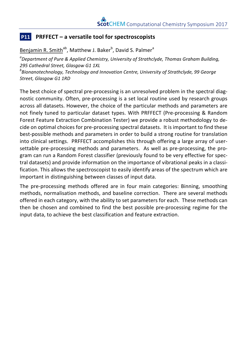#### **P11 PRFFECT** – a versatile tool for spectroscopists

Benjamin R. Smith<sup>ab</sup>, Matthew J. Baker<sup>b</sup>, David S. Palmer<sup>a</sup>

<sup>a</sup> Department of Pure & Applied Chemistry, University of Strathclyde, Thomas Graham Building, *295 Cathedral Street, Glasgow G1 1XL*

*b Bionanotechnology, Technology and Innovation Centre, University of Strathclyde, 99 George*  Street, Glasgow G1 1RD

The best choice of spectral pre-processing is an unresolved problem in the spectral diagnostic community. Often, pre-processing is a set local routine used by research groups across all datasets. However, the choice of the particular methods and parameters are not finely tuned to particular dataset types. With PRFFECT (Pre-processing & Random Forest Feature Extraction Combination Tester) we provide a robust methodology to decide on optimal choices for pre-processing spectral datasets. It is important to find these best-possible methods and parameters in order to build a strong routine for translation into clinical settings. PRFFECT accomplishes this through offering a large array of usersettable pre-processing methods and parameters. As well as pre-processing, the program can run a Random Forest classifier (previously found to be very effective for spectral datasets) and provide information on the importance of vibrational peaks in a classification. This allows the spectroscopist to easily identify areas of the spectrum which are important in distinguishing between classes of input data.

The pre-processing methods offered are in four main categories: Binning, smoothing methods, normalisation methods, and baseline correction. There are several methods offered in each category, with the ability to set parameters for each. These methods can then be chosen and combined to find the best possible pre-processing regime for the input data, to achieve the best classification and feature extraction.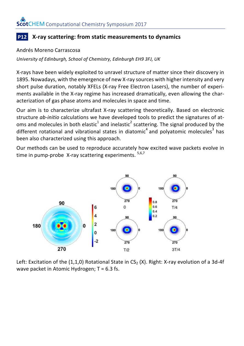#### **P12** X-ray scattering: from static measurements to dynamics

#### Andrés Moreno Carrascosa

*University of Edinburgh, School of Chemistry, Edinburgh EH9 3FJ, UK*

X-rays have been widely exploited to unravel structure of matter since their discovery in 1895. Nowadays, with the emergence of new X-ray sources with higher intensity and very short pulse duration, notably XFELs (X-ray Free Electron Lasers), the number of experiments available in the X-ray regime has increased dramatically, even allowing the characterization of gas phase atoms and molecules in space and time.

Our aim is to characterize ultrafast X-ray scattering theoretically. Based on electronic structure *ab-initio* calculations we have developed tools to predict the signatures of atoms and molecules in both elastic<sup>1</sup> and inelastic<sup>2</sup> scattering. The signal produced by the different rotational and vibrational states in diatomic<sup>4</sup> and polyatomic molecules<sup>3</sup> has been also characterized using this approach.

Our methods can be used to reproduce accurately how excited wave packets evolve in time in pump-probe X-ray scattering experiments.  $5,6,7$ 



Left: Excitation of the  $(1,1,0)$  Rotational State in CS<sub>2</sub> (X). Right: X-ray evolution of a 3d-4f wave packet in Atomic Hydrogen;  $T = 6.3$  fs.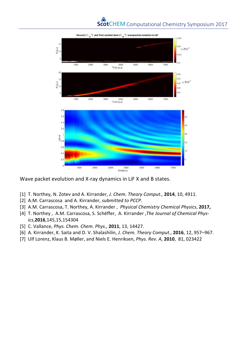

Wave packet evolution and X-ray dynamics in LiF X and B states.

- [1] T. Northey, N. Zotev and A. Kirrander, *J. Chem. Theory Comput.*, **2014**, 10, 4911.
- [2] A.M. Carrascosa and A. Kirrander, *submitted to PCCP.*
- [3] A.M. Carrascosa, T. Northey, A. Kirrander , *Physical Chemistry Chemical Physics*, **2017,**
- [4] T. Northey, A.M. Carrascosa, S. Scheffer, A. Kirrander , The Journal of Chemical Phys*ics*,**2016**,145,15,154304
- [5] C. Vallance, *Phys. Chem. Chem. Phys.,* **2011**, 13, 14427.
- [6] A. Kirrander, K. Saita and D. V. Shalashilin, *J. Chem. Theory Comput.*, **2016**, 12, 957–967.
- [7] Ulf Lorenz, Klaus B. Møller, and Niels E. Henriksen, *Phys. Rev. A*, **2010**, 81, 023422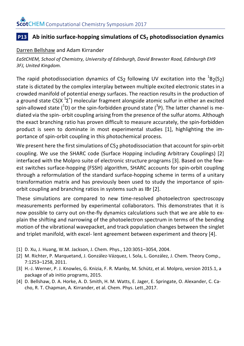#### **P13** Ab initio surface-hopping simulations of CS<sub>2</sub> photodissociation dynamics

#### Darren Bellshaw and Adam Kirrander

EaStCHEM, School of Chemistry, University of Edinburgh, David Brewster Road, Edinburgh EH9 *3FJ, United Kingdom.*

The rapid photodissociation dynamics of CS<sub>2</sub> following UV excitation into the  ${}^{1}B_{2}(S_{2})$ state is dictated by the complex interplay between multiple excited electronic states in a crowded manifold of potential energy surfaces. The reaction results in the production of a ground state CS(X  $12^+$ ) molecular fragment alongside atomic sulfur in either an excited spin-allowed state ( $^{1}$ D) or the spin-forbidden ground state ( $^{3}$ P). The latter channel is mediated via the spin- orbit coupling arising from the presence of the sulfur atoms. Although the exact branching ratio has proven difficult to measure accurately, the spin-forbidden product is seen to dominate in most experimental studies [1], highlighting the importance of spin-orbit coupling in this photochemical process.

We present here the first simulations of CS<sub>2</sub> photodissociation that account for spin-orbit coupling. We use the SHARC code (Surface Hopping including Arbitrary Couplings) [2] interfaced with the Molpro suite of electronic structure programs [3]. Based on the fewest switches surface-hopping (FSSH) algorithm, SHARC accounts for spin-orbit coupling through a reformulation of the standard surface-hopping scheme in terms of a unitary transformation matrix and has previously been used to study the importance of spinorbit coupling and branching ratios in systems such as IBr [2].

These simulations are compared to new time-resolved photoelectron spectroscopy measurements performed by experimental collaborators. This demonstrates that it is now possible to carry out on-the-fly dynamics calculations such that we are able to explain the shifting and narrowing of the photoelectron spectrum in terms of the bending motion of the vibrational wavepacket, and track population changes between the singlet and triplet manifold, with excel- lent agreement between experiment and theory [4].

- [1] D. Xu, J. Huang, W.M. Jackson, J. Chem. Phys., 120:3051-3054, 2004.
- [2] M. Richter, P. Marquetand, J. González-Vázquez, I. Sola, L. González, J. Chem. Theory Comp., 7:1253–1258, 2011.
- [3] H.-J. Werner, P. J. Knowles, G. Knizia, F. R. Manby, M. Schütz, et al. Molpro, version 2015.1, a package of ab initio programs, 2015.
- [4] D. Bellshaw, D. A. Horke, A. D. Smith, H. M. Watts, E. Jager, E. Springate, O. Alexander, C. Cacho, R. T. Chapman, A. Kirrander, et al. Chem. Phys. Lett.,2017.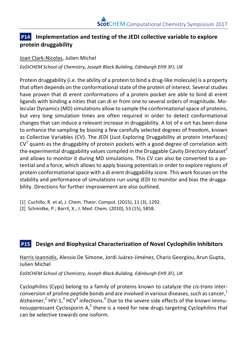#### **P14** Implementation and testing of the JEDI collective variable to explore **protein druggability**

#### Joan Clark-Nicolas, Julien Michel

*EaStCHEM School of Chemistry, Joseph Black Building, Edinburgh EH9 3FJ, UK*

Protein druggability (i.e. the ability of a protein to bind a drug-like molecule) is a property that often depends on the conformational state of the protein of interest. Several studies have proven that di erent conformations of a protein pocket are able to bind di erent ligands with binding a nities that can di er from one to several orders of magnitude. Molecular Dynamics (MD) simulations allow to sample the conformational space of proteins, but very long simulation times are often required in order to detect conformational changes that can induce a relevant increase in druggability. A lot of e ort has been done to enhance the sampling by biasing a few carefully selected degrees of freedom, known as Collective Variables (CV). The JEDI (Just Exploring Druggability at protein Interfaces)  $CV<sup>1</sup>$  quanti es the druggablity of protein pockets with a good degree of correlation with the experimental druggability values compiled in the Druggable Cavity Directory dataset<sup>2</sup> and allows to monitor it during MD simulations. This CV can also be converted to a potential and a force, which allows to apply biasing potentials in order to explore regions of protein conformational space with a di erent druggability score. This work focuses on the stability and performance of simulations run using JEDI to monitor and bias the druggability. Directions for further improvement are also outlined.

[2] Schmidke, P.; Barril, X.; J. Med. Chem. (2010), 53 (15), 5858.

#### **P15 Design and Biophysical Characterization of Novel Cyclophilin Inhibitors**

Harris Ioannidis, Alessio De Simone, Jordi Juárez-Jiménez, Charis Georgiou, Arun Gupta, Julien Michel

*EaStCHEM School of Chemistry, Joseph Black Building, Edinburgh EH9 3FJ, UK*

Cyclophilins (Cyps) belong to a family of proteins known to catalyze the *cis-trans* interconversion of proline peptide bonds and are involved in various diseases, such as cancer, $1$ Alzheimer, $^2$  HIV-1, $^3$  HCV $^4$  infections. $^4$  Due to the severe side effects of the known immunosuppressant Cyclosporin A, $<sup>5</sup>$  there is a need for new drugs targeting Cyclophilins that</sup> can be selective towards one isoform.

<sup>[1]</sup> Cuchillo, R. et al, J. Chem. Theor. Comput. (2015), 11 (3), 1292.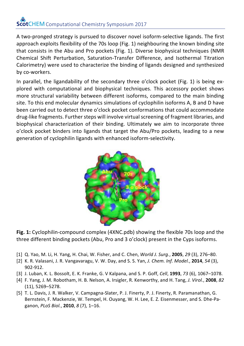A two-pronged strategy is pursued to discover novel isoform-selective ligands. The first approach exploits flexibility of the 70s loop (Fig. 1) neighbouring the known binding site that consists in the Abu and Pro pockets (Fig. 1). Diverse biophysical techniques (NMR Chemical Shift Perturbation, Saturation-Transfer Difference, and Isothermal Titration Calorimetry) were used to characterize the binding of ligands designed and synthesized by co-workers.

In parallel, the ligandability of the secondary three o'clock pocket (Fig. 1) is being explored with computational and biophysical techniques. This accessory pocket shows more structural variability between different isoforms, compared to the main binding site. To this end molecular dynamics simulations of cyclophilin isoforms A, B and D have been carried out to detect three o'clock pocket conformations that could accommodate drug-like fragments. Further steps will involve virtual screening of fragment libraries, and biophysical characterization of their binding. Ultimately we aim to incorporate three o'clock pocket binders into ligands that target the Abu/Pro pockets, leading to a new generation of cyclophilin ligands with enhanced isoform-selectivity.



**Fig. 1:** Cyclophilin-compound complex (4XNC.pdb) showing the flexible 70s loop and the three different binding pockets (Abu, Pro and 3 o'clock) present in the Cyps isoforms.

- [1] Q. Yao, M. Li, H. Yang, H. Chai, W. Fisher, and C. Chen, *World J. Surg.*, **2005**, *29* (3), 276–80.
- [2] K. R. Valasani, J. R. Vangavaragu, V. W. Day, and S. S. Yan, *J. Chem. Inf. Model.*, **2014**, 54 (3), 902-912.
- [3] J. Luban, K. L. Bossolt, E. K. Franke, G. V Kalpana, and S. P. Goff, *Cell*, **1993**, 73 (6), 1067–1078.
- [4] F. Yang, J. M. Robotham, H. B. Nelson, A. Irsigler, R. Kenworthy, and H. Tang, *J. Virol.*, **2008**, *82* (11), 5269–5278.
- [5] T. L. Davis, J. R. Walker, V. Campagna-Slater, P. J. Finerty, P. J. Finerty, R. Paramanathan, G. Bernstein, F. Mackenzie, W. Tempel, H. Ouyang, W. H. Lee, E. Z. Eisenmesser, and S. Dhe-Paganon, *PLoS Biol.*, **2010**, *8* (7), 1-16.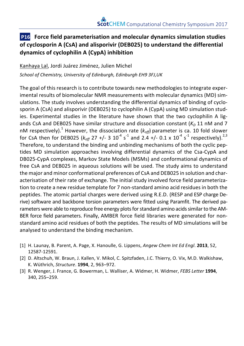#### **P16** Force field parameterisation and molecular dynamics simulation studies of cyclosporin A (CsA) and alisporivir (DEB025) to understand the differential **dynamics of cyclophilin A (CypA) inhibition**

Kanhaya Lal, Jordi Juárez Jiménez, Julien Michel

*School of Chemistry, University of Edinburgh, Edinburgh EH9 3FJ,UK*

The goal of this research is to contribute towards new methodologies to integrate experimental results of biomolecular NMR measurements with molecular dynamics (MD) simulations. The study involves understanding the differential dynamics of binding of cyclosporin A (CsA) and alisporivir (DEB025) to cyclophilin A (CypA) using MD simulation studies. Experimental studies in the literature have shown that the two cyclophilin A ligands CsA and DEB025 have similar structure and dissociation constant  $(K<sub>D</sub> 11$  nM and 7 nM respectively).<sup>1</sup> However, the dissociation rate  $(k_{off})$  parameter is ca. 10 fold slower for CsA then for DEB025 ( $k_{off}$  27 +/- 3 10<sup>-4</sup> s<sup>-1</sup> and 2.4 +/- 0.1 x 10<sup>-4</sup> s<sup>-1</sup> respectively).<sup>2,3</sup> Therefore, to understand the binding and unbinding mechanisms of both the cyclic peptides MD simulation approaches involving differential dynamics of the Csa-CypA and DB025-CypA complexes, Markov State Models (MSMs) and conformational dynamics of free CsA and DEB025 in aqueous solutions will be used. The study aims to understand the major and minor conformational preferences of CsA and DEB025 in solution and characterisation of their rate of exchange. The initial study involved force field parameterization to create a new residue template for 7 non-standard amino acid residues in both the peptides. The atomic partial charges were derived using R.E.D. (RESP and ESP charge Derive) software and backbone torsion parameters were fitted using Paramfit. The derived parameters were able to reproduce free energy plots for standard amino acids similar to the AM-BER force field parameters. Finally, AMBER force field libraries were generated for nonstandard amino acid residues of both the peptides. The results of MD simulations will be analysed to understand the binding mechanism.

- [1] H. Launay, B. Parent, A. Page, X. Hanoulle, G. Lippens, *Angew Chem Int Ed Engl*. **2013**, 52, 12587-12591.
- [2] D. Altschuh, W. Braun, J. Kallen, V. Mikol, C. Spitzfaden, J.C. Thierry, O. Vix, M.D. Walkishaw, K. Wüthrich, *Structure*. **1994**, 2, 963–972.
- [3] R. Wenger, J. France, G. Bowerman, L. Walliser, A. Widmer, H. Widmer, *FEBS Letter* **1994**, 340, 255–259.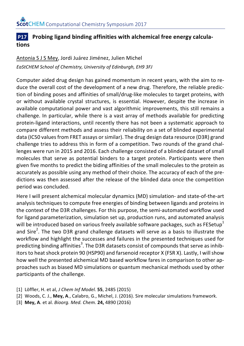#### **P17** Probing ligand binding affinities with alchemical free energy calcula**tions**

#### Antonia S J S Mey, Jordi Juárez Jiménez, Julien Michel EaStCHEM School of Chemistry, University of Edinburgh, EH9 3FJ

Computer aided drug design has gained momentum in recent vears, with the aim to reduce the overall cost of the development of a new drug. Therefore, the reliable prediction of binding poses and affinities of small/drug-like molecules to target proteins, with or without available crystal structures, is essential. However, despite the increase in available computational power and vast algorithmic improvements, this still remains a challenge. In particular, while there is a vast array of methods available for predicting protein-ligand interactions, until recently there has not been a systematic approach to compare different methods and assess their reliability on a set of blinded experimental data (IC50 values from FRET assays or similar). The drug design data resource (D3R) grand challenge tries to address this in form of a competition. Two rounds of the grand challenges were run in 2015 and 2016. Each challenge consisted of a blinded dataset of small molecules that serve as potential binders to a target protein. Participants were then given five months to predict the biding affinities of the small molecules to the protein as accurately as possible using any method of their choice. The accuracy of each of the predictions was then assessed after the release of the blinded data once the competition period was concluded.

Here I will present alchemical molecular dynamics (MD) simulation- and state-of-the-art analysis techniques to compute free energies of binding between ligands and proteins in the context of the D3R challenges. For this purpose, the semi-automated workflow used for ligand parameterization, simulation set up, production runs, and automated analysis will be introduced based on various freely available software packages, such as FESetup<sup>1</sup> and Sire<sup>2</sup>. The two D3R grand challenge datasets will serve as a basis to illustrate the workflow and highlight the successes and failures in the presented techniques used for predicting binding affinities<sup>3</sup>. The D3R datasets consist of compounds that serve as inhibitors to heat shock protein 90 (HSP90) and farsenoid receptor X (FSR X). Lastly, I will show how well the presented alchemical MD based workflow fares in comparison to other approaches such as biased MD simulations or quantum mechanical methods used by other participants of the challenge.

- [1] Löffler, H. et al, *J Chem Inf Model.* **55**, 2485 (2015)
- [2] Woods, C. J., Mey, A., Calabro, G., Michel, J. (2016). Sire molecular simulations framework.
- [3] **Mey, A**. et al. *Bioorg. Med. Chem.* **24,** 4890 (2016)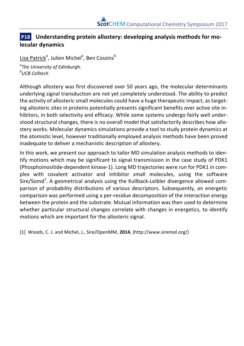#### **P18** Understanding protein allostery: developing analysis methods for mo**lecular dynamics**

<u>Lisa Patrick</u>ª, Julien Michel<sup>a</sup>, Ben Cossins<sup>b</sup>

*a The University of Edinburgh. b UCB Celltech*

Although allostery was first discovered over 50 years ago, the molecular determinants underlying signal transduction are not vet completely understood. The ability to predict the activity of allosteric small molecules could have a huge therapeutic impact, as targeting allosteric sites in proteins potentially presents significant benefits over active site inhibitors, in both selectivity and efficacy. While some systems undergo fairly well understood structural changes, there is no overall model that satisfactorily describes how allostery works. Molecular dynamics simulations provide a tool to study protein dynamics at the atomistic level, however traditionally employed analysis methods have been proved inadequate to deliver a mechanistic description of allostery.

In this work, we present our approach to tailor MD simulation analysis methods to identify motions which may be significant to signal transmission in the case study of PDK1 (Phosphoinositide-dependent kinase-1). Long MD trajectories were run for PDK1 in complex with covalent activator and inhibitor small molecules, using the software Sire/Somd<sup>1</sup>. A geometrical analysis using the Kullback-Leibler divergence allowed comparison of probability distributions of various descriptors. Subsequently, an energetic comparison was performed using a per-residue decomposition of the interaction energy between the protein and the substrate. Mutual information was then used to determine whether particular structural changes correlate with changes in energetics, to identify motions which are important for the allosteric signal.

[1] Woods, C. J. and Michel, J., Sire/OpenMM, 2014, (http://www.siremol.org/)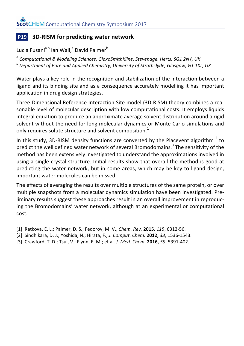#### **P19 3D-RISM** for predicting water network

Lucia Fusani<sup>a,b</sup> Ian Wall,<sup>a</sup> David Palmer<sup>b</sup>

 $^a$  Computational & Modeling Sciences, GlaxoSmithKline, Stevenage, Herts. SG1 2NY, UK<br> $^b$  Department of Pure and Applied Chemistry, University of Strathclyde, Glasgow, G1 1XL, UK

Water plays a key role in the recognition and stabilization of the interaction between a ligand and its binding site and as a consequence accurately modelling it has important application in drug design strategies.

Three-Dimensional Reference Interaction Site model (3D-RISM) theory combines a reasonable level of molecular description with low computational costs. It employs liquids integral equation to produce an approximate average solvent distribution around a rigid solvent without the need for long molecular dynamics or Monte Carlo simulations and only requires solute structure and solvent composition.<sup>1</sup>

In this study, 3D-RISM density functions are converted by the Placevent algorithm  $2$  to predict the well defined water network of several Bromodomains.<sup>3</sup> The sensitivity of the method has been extensively investigated to understand the approximations involved in using a single crystal structure. Initial results show that overall the method is good at predicting the water network, but in some areas, which may be key to ligand design, important water molecules can be missed.

The effects of averaging the results over multiple structures of the same protein, or over multiple snapshots from a molecular dynamics simulation have been investigated. Preliminary results suggest these approaches result in an overall improvement in reproducing the Bromodomains' water network, although at an experimental or computational cost. 

- [1] Ratkova, E. L.; Palmer, D. S.; Fedorov, M. V., Chem. Rev. 2015, 115, 6312-56.
- [2] Sindhikara, D. J.; Yoshida, N.; Hirata, F., *J. Comput. Chem.* **2012,** *33*, 1536-1543.
- [3] Crawford, T. D.; Tsui, V.; Flynn, E. M.; et al. *J. Med. Chem.* **2016,** *59*, 5391-402.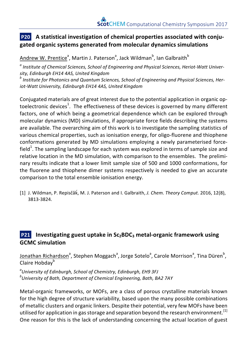#### **P20** A statistical investigation of chemical properties associated with conju**gated organic systems generated from molecular dynamics simulations**

<u>Andrew W. Prentice</u><sup>a</sup>, Martin J. Paterson<sup>a</sup>, Jack Wildman<sup>b</sup>, Ian Galbraith<sup>b</sup>

<sup>*a*</sup> Institute of Chemical Sciences, School of Engineering and Physical Sciences, Heriot-Watt University, Edinburgh EH14 4AS, United Kingdom

*b* Institute for Photonics and Quantum Sciences, School of Engineering and Physical Sciences, Heriot-Watt University, Edinburgh EH14 4AS, United Kingdom

Conjugated materials are of great interest due to the potential application in organic optoelectronic devices<sup>1</sup>. The effectiveness of these devices is governed by many different factors, one of which being a geometrical dependence which can be explored through molecular dynamics (MD) simulations, if appropriate force fields describing the systems are available. The overarching aim of this work is to investigate the sampling statistics of various chemical properties, such as ionisation energy, for oligo-fluorene and thiophene conformations generated by MD simulations employing a newly parameterised forcefield<sup>1</sup>. The sampling landscape for each system was explored in terms of sample size and relative location in the MD simulation, with comparison to the ensembles. The preliminary results indicate that a lower limit sample size of 500 and 1000 conformations, for the fluorene and thiophene dimer systems respectively is needed to give an accurate comparison to the total ensemble ionisation energy.

[1] J. Wildman, P. Repisčǎk, M. J. Paterson and I. Galbraith, *J. Chem. Theory Comput.* 2016, 12(8), 3813-3824.

#### **P21 Investigating guest uptake in Sc<sub>2</sub>BDC<sub>3</sub> metal-organic framework using GCMC simulation**

<u>Jonathan Richardson</u><sup>a</sup>, Stephen Moggach<sup>a</sup>, Jorge Sotelo<sup>a</sup>, Carole Morrison<sup>a</sup>, Tina Düren<sup>b</sup>, Claire Hobday<sup>b</sup>

*a University of Edinburgh, School of Chemistry, Edinburgh, EH9 3FJ b University of Bath, Department of Chemical Engineering, Bath, BA2 7AY*

Metal-organic frameworks, or MOFs, are a class of porous crystalline materials known for the high degree of structure variability, based upon the many possible combinations of metallic clusters and organic linkers. Despite their potential, very few MOFs have been utilised for application in gas storage and separation beyond the research environment.<sup>[1]</sup> One reason for this is the lack of understanding concerning the actual location of guest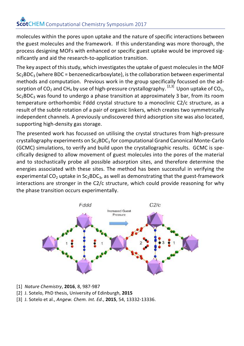molecules within the pores upon uptake and the nature of specific interactions between the guest molecules and the framework. If this understanding was more thorough, the process designing MOFs with enhanced or specific guest uptake would be improved significantly and aid the research-to-application transition.

The key aspect of this study, which investigates the uptake of guest molecules in the MOF  $Sc_2BDC_3$  (where BDC = benzenedicarboxylate), is the collaboration between experimental methods and computation. Previous work in the group specifically focussed on the adsorption of CO<sub>2</sub> and CH<sub>4</sub> by use of high-pressure crystallography. <sup>[2,3]</sup> Upon uptake of CO<sub>2</sub>,  $Sc_2BDC_3$  was found to undergo a phase transition at approximately 3 bar, from its room temperature orthorhombic Fddd crystal structure to a monoclinic C2/c structure, as a result of the subtle rotation of a pair of organic linkers, which creates two symmetrically independent channels. A previously undiscovered third adsorption site was also located, supporting high-density gas storage.

The presented work has focussed on utilising the crystal structures from high-pressure crystallography experiments on  $Sc_2BDC_3$  for computational Grand Canonical Monte-Carlo (GCMC) simulations, to verify and build upon the crystallographic results. GCMC is specifically designed to allow movement of guest molecules into the pores of the material and to stochastically probe all possible adsorption sites, and therefore determine the energies associated with these sites. The method has been successful in verifying the experimental  $CO<sub>2</sub>$  uptake in  $Sc<sub>2</sub>BDC<sub>3</sub>$ , as well as demonstrating that the guest-framework interactions are stronger in the  $C2/c$  structure, which could provide reasoning for why the phase transition occurs experimentally.



- [1] *Nature Chemistry*, **2016**, 8, 987-987
- [2] J. Sotelo, PhD thesis, University of Edinburgh, **2015**
- [3] J. Sotelo et al., *Angew. Chem. Int. Ed.*, **2015**, 54, 13332-13336.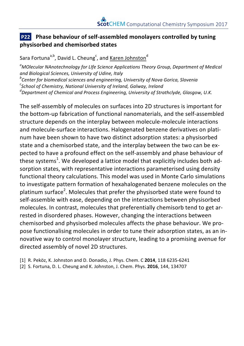#### **P22** Phase behaviour of self-assembled monolayers controlled by tuning **physisorbed and chemisorbed states**

Sara Fortuna<sup>a,b</sup>, David L. Cheung<sup>c</sup>, and <u>Karen Johnston</u><sup>d</sup>

<sup>a</sup> MOlecular NAnotechnology for LIfe Science Applications Theory Group, Department of Medical *and Biological Sciences, University of Udine, Italy b Center for biomedical sciences and engineering, University of Nova Gorica, Slovenia*

*c School of Chemistry, National University of Ireland, Galway, Ireland*

*d Department of Chemical and Process Engineering, University of Strathclyde, Glasgow, U.K.*

The self-assembly of molecules on surfaces into 2D structures is important for the bottom-up fabrication of functional nanomaterials, and the self-assembled structure depends on the interplay between molecule-molecule interactions and molecule-surface interactions. Halogenated benzene derivatives on platinum have been shown to have two distinct adsorption states: a physisorbed state and a chemisorbed state, and the interplay between the two can be expected to have a profound effect on the self-assembly and phase behaviour of these systems $^{\rm 1}$ . We developed a lattice model that explicitly includes both adsorption states, with representative interactions parameterised using density functional theory calculations. This model was used in Monte Carlo simulations to investigate pattern formation of hexahalogenated benzene molecules on the platinum surface<sup>2</sup>. Molecules that prefer the physisorbed state were found to self-assemble with ease, depending on the interactions between physisorbed molecules. In contrast, molecules that preferentially chemisorb tend to get arrested in disordered phases. However, changing the interactions between chemisorbed and physisorbed molecules affects the phase behaviour. We propose functionalising molecules in order to tune their adsorption states, as an innovative way to control monolayer structure, leading to a promising avenue for directed assembly of novel 2D structures.

[1] R. Peköz, K. Johnston and D. Donadio, J. Phys. Chem. C 2014, 118 6235-6241

[2] S. Fortuna, D. L. Cheung and K. Johnston, J. Chem. Phys. **2016**, 144, 134707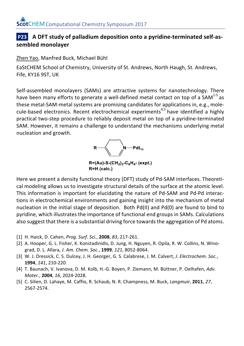#### **P23** A DFT study of palladium deposition onto a pyridine-terminated self-as**sembled monolayer**

Zhen Yao, Manfred Buck, Michael Bühl

EaStCHEM School of Chemistry, University of St. Andrews, North Haugh, St. Andrews, Fife, KY16 9ST, UK

Self-assembled monolayers (SAMs) are attractive systems for nanotechnology. There have been many efforts to generate a well-defined metal contact on top of a SAM $^{1-5}$  as these metal-SAM-metal systems are promising candidates for applications in, e.g., molecule-based electronics. Recent electrochemical experiments<sup>4,5</sup> have identified a highly practical two-step procedure to reliably deposit metal on top of a pyridine-terminated SAM. However, it remains a challenge to understand the mechanisms underlying metal nucleation and growth.



 $R = (Au) - S - (CH<sub>2</sub>)<sub>3</sub> - C<sub>6</sub>H<sub>4</sub> - (expt.)$ R=H (calc.)

Here we present a density functional theory (DFT) study of Pd-SAM interfaces. Theoretical modeling allows us to investigate structural details of the surface at the atomic level. This information is important for elucidating the nature of Pd-SAM and Pd-Pd interactions in electrochemical environments and gaining insight into the mechanism of metal nucleation in the initial stage of deposition. Both  $Pd(II)$  and  $Pd(0)$  are found to bind to pyridine, which illustrates the importance of functional end groups in SAMs. Calculations also suggest that there is a substantial driving force towards the aggregation of Pd atoms.

- [1] H. Haick, D. Cahen, *Prog. Surf. Sci.*, **2008**, 83, 217-261.
- [2] A. Hooper, G. L. Fisher, K. Konstadinidis, D. Jung, H. Nguyen, R. Opila, R. W. Collins, N. Winograd, D. L. Allara, *J. Am. Chem. Soc.*, **1999**, *121*, 8052-8064.
- [3] W. J. Dressick, C. S. Dulcey, J. H. Georger, G. S. Calabrese, J. M. Calvert, *J. Electrochem. Soc.*, **1994**, *141*, 210-220.
- [4] T. Baunach, V. Ivanova, D. M. Kolb, H.-G. Boyen, P. Ziemann, M. Büttner, P. Oelhafen, Adv. *Mater.*, **2004**, *16*, 2024-2028.
- [5] C. Silien, D. Lahaye, M. Caffio, R. Schaub, N. R. Champness, M. Buck, *Langmuir*, **2011**, *27*, 2567-2574.